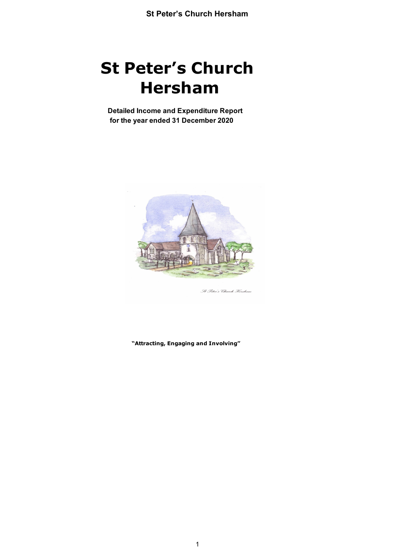**Detailed Income and Expenditure Report for the year ended 31 December 2020**



St Peter's Church Hersham

**"Attracting, Engaging and Involving"**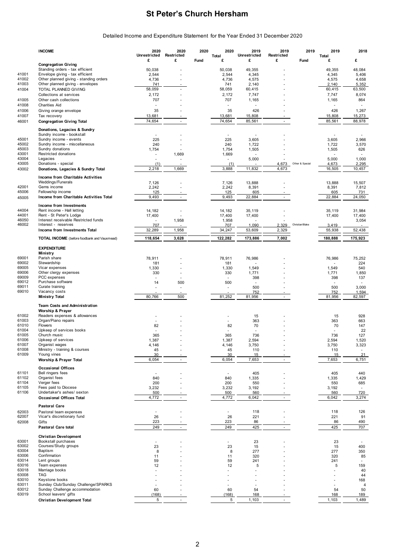Detailed Income and Expenditure Statement for the Year Ended 31 December 2020

|                | <b>INCOME</b>                                                       | 2020                     | 2020                        | 2020 | 2020            | 2019              | 2019            | 2019            | 2019                 | 2018                  |
|----------------|---------------------------------------------------------------------|--------------------------|-----------------------------|------|-----------------|-------------------|-----------------|-----------------|----------------------|-----------------------|
|                |                                                                     | Unrestricted<br>£        | Restricted<br>£             | Fund | Total<br>£      | Unrestricted<br>£ | Restricted<br>£ | Fund            | Total<br>£           | £                     |
|                | <b>Congregation Giving</b>                                          |                          |                             |      |                 |                   |                 |                 |                      |                       |
| 41001          | Standing orders - tax efficient<br>Envelope giving - tax efficient  | 50,038<br>2,544          |                             |      | 50,038<br>2,544 | 49,355<br>4,345   |                 |                 | 49,355<br>4,345      | 48,084<br>5,406       |
| 41002          | Other planned giving - standing orders                              | 4,736                    |                             |      | 4,736           | 4,575             |                 |                 | 4,575                | 4,658                 |
| 41003          | Other planned giving - envelopes                                    | 741                      |                             |      | 741             | 2,140             |                 |                 | 2,140                | 5,352                 |
| 41004          | TOTAL PLANNED GIVING                                                | 58,059                   |                             |      | 58,059          | 60,415            |                 |                 | 60,415               | 63,500                |
|                | Collections at services                                             | 2,172                    |                             |      | 2,172           | 7,747             |                 |                 | 7,747                | 8,074                 |
| 41005          | Other cash collections                                              | 707                      |                             |      | 707             | 1,165             |                 |                 | 1,165                | 864                   |
| 41008          | <b>Charities Aid</b>                                                | $\sim$                   |                             |      | $\overline{a}$  |                   |                 |                 | ä,                   |                       |
| 41006<br>41007 | Giving orange envelope<br>Tax recovery                              | 35<br>13,681             |                             |      | 35<br>13,681    | 426<br>15,808     |                 |                 | 426<br>15,808        | 1,267<br>15,273       |
| 46001          | <b>Congregation Giving Total</b>                                    | 74,654                   | $\mathcal{L}_{\mathcal{A}}$ |      | 74,654          | 85,561            | $\sim$          |                 | 85,561               | 88,978                |
|                |                                                                     |                          |                             |      |                 |                   |                 |                 |                      |                       |
|                | Donations, Legacies & Sundry<br>Sundry income - bookstall           | $\overline{\phantom{a}}$ |                             |      |                 |                   |                 |                 |                      |                       |
| 45001          | Sundry income - events                                              | 225                      |                             |      | 225             | 3,605             |                 |                 | 3,605                | 2,966                 |
| 45002          | Sundry income - miscellaneous                                       | 240                      |                             |      | 240             | 1,722             |                 |                 | 1,722                | 3,570                 |
| 45003          | Sundry donations                                                    | 1,754                    |                             |      | 1,754           | 1,505             |                 |                 | 1,505                | 626                   |
| 43001          | Restricted donations                                                | ٠                        | 1,669                       |      | 1,669           |                   |                 |                 | $\ddot{\phantom{1}}$ | $\overline{a}$        |
| 43004<br>43005 | Legacies<br>Donations - special                                     | $\overline{a}$<br>(1)    |                             |      | $\sim$<br>(1)   | 5,000             | 4,673           | Other & Special | 5,000<br>4,673       | 1,000<br>2,295        |
| 43002          | Donations, Legacies & Sundry Total                                  | 2,218                    | 1,669                       |      | 3,888           | 11,832            | 4,673           |                 | 16,505               | 10,457                |
|                |                                                                     |                          |                             |      |                 |                   |                 |                 |                      |                       |
|                | Income from Charitable Activities<br>Weddings/Funerals              | 7,126                    |                             |      | 7,126           | 13,888            |                 |                 | 13,888               | 15,507                |
| 42001          | Gems income                                                         | 2,242                    |                             |      | 2,242           | 8,391             |                 |                 | 8,391                | 7,812                 |
| 45006          | Fellowship income                                                   | 125                      |                             |      | 125             | 605               |                 |                 | 605                  | 731                   |
| 45005          | Income from Charitable Activities Total                             | 9,493                    | $\blacksquare$              |      | 9,493           | 22,884            | $\blacksquare$  |                 | 22,884               | 24,050                |
|                | Income from Investments                                             |                          |                             |      |                 |                   |                 |                 |                      |                       |
| 44004          | Rent income - Hall letting                                          | 14,182                   |                             |      | 14,182          | 35,119            |                 |                 | 35,119               | 31,984                |
| 44001          | Rent - St Peter's Lodge                                             | 17,400                   |                             |      | 17,400          | 17,400            |                 |                 | 17,400               | 17,400                |
| 46050          | Interest receivable Restricted funds                                |                          | 1,958                       |      | 1,958           |                   |                 |                 |                      | 3,054                 |
| 46002          | Interest - reserves<br>Income from Investments Total                | 707<br>32,289            | 1,958                       |      | 707<br>34,247   | 1,090<br>53,609   | 2,329<br>2,329  | Christian/Blake | 3,419<br>55,938      | 52,438                |
|                |                                                                     |                          |                             |      |                 |                   |                 |                 |                      |                       |
|                | TOTAL INCOME (before foodbank and Vauxmead)                         | 118,654                  | 3,628                       |      | 122,282         | 173,886           | 7,002           |                 | 180,888              | 175,923               |
|                | <b>EXPENDITURE</b>                                                  |                          |                             |      |                 |                   |                 |                 |                      |                       |
|                | Ministry                                                            |                          |                             |      |                 |                   |                 |                 |                      |                       |
| 69001<br>69002 | Parish share<br>Stewardship                                         | 78,911                   |                             |      | 78,911          | 76,986            |                 |                 | 76,986               | 75,252<br>224         |
| 69005          | Vicar expenses                                                      | 181<br>1,330             |                             |      | 181<br>1,330    | 1,549             |                 |                 | 1,549                | 540                   |
| 69006          | Other clergy expenses                                               | 330                      |                             |      | 330             | 1,771             |                 |                 | 1,771                | 1,850                 |
| 69009          | PCC expenses                                                        |                          |                             |      |                 | 398               |                 |                 | 398                  | 137                   |
| 69012          | Purchase software                                                   | 14                       | 500                         |      | 500             | ÷,                |                 |                 |                      |                       |
| 69011<br>69010 | Curate training<br>Vacancy costs                                    |                          |                             |      |                 | 500<br>752        |                 |                 | 500<br>752           | 3,000<br>1,594        |
|                | <b>Ministry Total</b>                                               | 80,766                   | 500                         |      | 81,252          | 81,956            | $\sim$          |                 | 81,956               | 82,597                |
|                |                                                                     |                          |                             |      |                 |                   |                 |                 |                      |                       |
|                | <b>Team Costs and Administration</b><br><b>Worship &amp; Prayer</b> |                          |                             |      |                 |                   |                 |                 |                      |                       |
| 61002          | Readers expenses & allowances                                       |                          |                             |      |                 | 15                |                 |                 | 15                   | 928                   |
| 61003          | Organ/Piano repairs                                                 |                          |                             |      | ٠               | 363               |                 |                 | 363                  | 663                   |
| 61010          | <b>Flowers</b>                                                      | 82                       |                             |      | 82              | 70                |                 |                 | 70                   | 147                   |
| 61004          | Upkeep of services books                                            |                          |                             |      |                 | ä,                |                 |                 |                      | 22                    |
| 61005<br>61006 | Church music<br>Upkeep of services                                  | 365<br>1,387             |                             |      | 365<br>1,387    | 736<br>2,594      |                 |                 | 736<br>2,594         | 127<br>1,520          |
| 61007          | Organist wages                                                      | 4,146                    |                             |      | 4,146           | 3,750             |                 |                 | 3,750                | 3,323                 |
| 61008          | Ministry - training & courses                                       | 45                       |                             |      | 45              | 110               |                 |                 | 110                  |                       |
| 61009          | Young vines                                                         | 30                       |                             |      | 30              | 15                |                 |                 | 15                   | 21                    |
|                | Worship & Prayer Total                                              | 6,054                    | $\sim$                      |      | 6,054           | 7,653             | $\sim$          |                 | 7,653                | 6,751                 |
|                | <b>Occasional Offices</b>                                           |                          |                             |      |                 |                   |                 |                 |                      |                       |
| 61101          | Bell ringers fees                                                   | $\overline{\phantom{a}}$ |                             |      |                 | 405               |                 |                 | 405                  | 440                   |
| 61102          | Organist fees<br>Verger fees                                        | 840                      |                             |      | 840             | 1,335             |                 |                 | 1,335                | 1,429                 |
| 61104<br>61105 | Fees paid to Diocese                                                | 200<br>3,232             |                             |      | 200<br>3,232    | 550<br>3,192      |                 |                 | 550<br>3,192         | 685                   |
| 61106          | Undertaker's ashes/ sexton                                          | 500                      |                             |      | 500             | 560               |                 |                 | 560                  | 720                   |
|                | <b>Occasional Offices Total</b>                                     | 4,772                    | $\mathcal{L}_{\mathcal{A}}$ |      | 4,772           | 6,042             | ÷.              |                 | 6,042                | 3,274                 |
|                | <b>Pastoral Care</b>                                                |                          |                             |      |                 |                   |                 |                 |                      |                       |
| 62003          | Pastoral team expenses                                              | $\overline{\phantom{a}}$ |                             |      |                 | 118               |                 |                 | 118                  | 126                   |
| 62007          | Vicar's discretionary fund                                          | 26                       |                             |      | 26              | 221               |                 |                 | 221                  | 91                    |
| 62008          | Gifts                                                               | 223                      |                             |      | 223             | 86                |                 |                 | 86                   | 490                   |
|                | <b>Pastoral Care total</b>                                          | 249                      | $\sim$                      |      | 249             | 425               | $\sim$          |                 | 425                  | 707                   |
|                | <b>Christian Development</b>                                        |                          |                             |      |                 |                   |                 |                 |                      |                       |
| 63001          | Bookstall purchases                                                 | ٠                        |                             |      |                 | 23                |                 |                 | 23                   |                       |
| 63002          | Courses/Study groups                                                | 23                       |                             |      | 23              | 15                |                 |                 | 15                   | 400                   |
| 63004<br>63006 | Baptism<br>Confirmation                                             | 8<br>11                  |                             |      | 8               | 277<br>320        |                 |                 | 277                  | 350                   |
| 63014          | Lent groups                                                         | 59                       |                             |      | 11<br>59        | 241               |                 |                 | 320<br>241           | 85<br>$\sim$          |
| 63016          | Team expenses                                                       | 12                       |                             |      | 12              | 5                 |                 |                 | 5                    | 159                   |
| 63018          | Marriage books                                                      |                          |                             |      |                 |                   |                 |                 |                      | 40                    |
| 63008          | TAG                                                                 |                          |                             |      |                 |                   |                 |                 |                      | 44                    |
| 63010<br>63011 | Keystone books<br>Sunday Club/Sunday Challenge/SPARKS               |                          |                             |      |                 |                   |                 |                 |                      | 168<br>$\overline{4}$ |
| 63012          | Sunday Challenge accommodation                                      | 60                       |                             |      | 60              | 54                |                 |                 | 54                   | 50                    |
| 63019          | School leavers' gifts                                               | (168)                    |                             |      | (168)           | 168               |                 |                 | 168                  | 189                   |
|                | Christian Development Total                                         | 5                        | $\sim$                      |      | 5               | 1,103             |                 |                 | 1,103                | 1,489                 |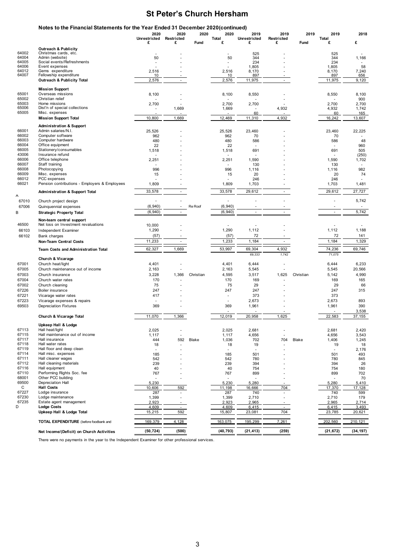|                | Notes to the Financial Statements for the Year Ended 31 December 2020(continued) | 2020                     | 2020                     | 2020      | 2020          | 2019          | 2019                     | 2019      | 2019          | 2018                     |
|----------------|----------------------------------------------------------------------------------|--------------------------|--------------------------|-----------|---------------|---------------|--------------------------|-----------|---------------|--------------------------|
|                |                                                                                  | Unrestricted             | Restricted               |           | Total         | Unrestricted  | Restricted               |           | Total         |                          |
|                |                                                                                  | £                        | £                        | Fund      | £             | £             | £                        | Fund      | £             | £                        |
|                | <b>Outreach &amp; Publicity</b>                                                  |                          |                          |           |               |               |                          |           |               |                          |
| 64002<br>64004 | Christmas cards, etc.<br>Admin (website)                                         | 50                       |                          |           | 50            | 525<br>344    |                          |           | 525<br>344    | 1,166                    |
| 64005          | Social events/Refreshments                                                       |                          |                          |           |               | 234           |                          |           | 234           |                          |
| 64006          | Event expenses                                                                   |                          |                          |           |               | 1,805         |                          |           | 1,805         | 58                       |
| 64012          | Gems expenditure                                                                 | 2,516                    |                          |           | 2,516         | 8,170         |                          |           | 8,170         | 7,240                    |
| 64007          | Fellowship expenditure                                                           | 10                       | $\blacksquare$           |           | 10            | 897           | $\blacksquare$           |           | 897           | 656                      |
|                | <b>Outreach &amp; Publicity Total</b>                                            | 2,576                    |                          |           | 2,576         | 11,975        |                          |           | 11,975        | 9,120                    |
| 65001          | <b>Mission Support</b><br>Overseas missions                                      |                          |                          |           |               |               |                          |           |               |                          |
| 65002          | Christian relief                                                                 | 8,100                    |                          |           | 8,100         | 8,550         |                          |           | 8,550         | 8,100<br>900             |
| 65003          | Home missions                                                                    | 2,700                    |                          |           | 2,700         | 2,700         |                          |           | 2,700         | 2,700                    |
| 65006          | Dist'n of special collections                                                    | $\overline{\phantom{a}}$ | 1,669                    |           | 1,669         |               | 4,932                    |           | 4,932         | 1,742                    |
| 65005          | Misc. expenses                                                                   |                          |                          |           |               | 60            |                          |           | 60            | 165                      |
|                | <b>Mission Support Total</b>                                                     | 10,800                   | 1,669                    |           | 12,469        | 11,310        | 4,932                    |           | 16,242        | 13,607                   |
|                | <b>Administration &amp; Support</b>                                              |                          |                          |           |               |               |                          |           |               |                          |
| 66001          | Admin salaries/N.I.                                                              | 25,526                   |                          |           | 25,526        | 23,460        |                          |           | 23,460        | 22,225                   |
| 66002<br>66003 | Computer software<br>Computer hardware                                           | 962<br>480               |                          |           | 962<br>480    | 70<br>586     |                          |           | 70<br>586     | 48                       |
| 66004          | Office equipment                                                                 | 22                       |                          |           | 22            | ٠             |                          |           |               | 960                      |
| 66005          | Stationery/consumables                                                           | 1,518                    |                          |           | 1,518         | 691           |                          |           | 691           | 505                      |
| 43006          | Insurance refund                                                                 |                          |                          |           |               |               |                          |           |               | (250)                    |
| 66006          | Office telephone                                                                 | 2,251                    |                          |           | 2,251         | 1,590         |                          |           | 1,590         | 1,702                    |
| 66007          | Staff training                                                                   |                          |                          |           |               | 130           |                          |           | 130           |                          |
| 66008          | Photocopying                                                                     | 996                      |                          |           | 996           | 1,116         |                          |           | 1,116         | 982                      |
| 66009          | Misc. expenses                                                                   | 15                       |                          |           | 15            | 20            |                          |           | 20            | 74                       |
| 66012          | PCC expenses<br>Pension contributions - Employers & Employees                    |                          |                          |           |               | 246           |                          |           | 246           |                          |
| 66021          |                                                                                  | 1,809                    |                          |           | 1,809         | 1,703         |                          |           | 1,703         | 1,481                    |
| А              | <b>Administration &amp; Support Total</b>                                        | 33,578                   | $\omega$                 |           | 33,578        | 29,612        | ÷                        |           | 29,612        | 27,727                   |
| 67010          | Church project design                                                            |                          |                          |           |               |               |                          |           |               | 5,742                    |
| 67006          | Quinquennial expenses                                                            | (6, 940)                 | $\sim$                   | Re Roof   | (6, 940)      | ×,            |                          |           |               | $\overline{\phantom{a}}$ |
| В              | <b>Strategic Property Total</b>                                                  | (6, 940)                 | $\sim$                   |           | (6, 940)      | $\sim$        | $\sim$                   |           | ×.            | 5,742                    |
|                |                                                                                  |                          |                          |           |               |               |                          |           |               |                          |
| 46500          | Non-team central support<br>Net loss on Investment revaluations                  |                          |                          |           |               |               |                          |           |               |                          |
|                |                                                                                  | 10,000<br>1,290          |                          |           | 1,290         | 1,112         |                          |           | 1,112         | 1,188                    |
| 66103          | Independent Examiner                                                             |                          |                          |           |               |               |                          |           |               |                          |
| 66102          | Bank charges                                                                     | (57)                     |                          |           | (57)          | 72            |                          |           | 72            | 141                      |
|                | <b>Non-Team Central Costs</b>                                                    | 11,233                   | $\overline{\phantom{a}}$ |           | 1,233         | 1,184         | $\overline{\phantom{a}}$ |           | 1,184         | 1,329                    |
|                | <b>Team Costs and Administration Total</b>                                       | 62,327                   | 1,669                    |           | 53,997        | 69,304        | 4,932                    |           | 74,236        | 69,746                   |
|                | Church & Vicarage                                                                |                          |                          |           |               | 69,333        | 1,742                    |           | 71,075        |                          |
| 67001          | Church heat/light                                                                | 4,401                    |                          |           | 4,401         | 6,444         |                          |           | 6,444         | 6,233                    |
| 67005          | Church maintenance out of income                                                 | 2,163                    |                          |           | 2,163         | 5,545         |                          |           | 5,545         | 20,566                   |
| 67003          | Church insurance                                                                 | 3,228                    | 1,366                    | Christian | 4,595         | 3,517         | 1,625                    | Christian | 5,142         | 4,990                    |
| 67004          | Church water rates                                                               | 170                      |                          |           | 170           | 169           |                          |           | 169           | 165                      |
| 67002          | Church cleaning                                                                  | 75                       |                          |           | 75            | 29            |                          |           | 29            | 66                       |
| 67226          | Boiler insurance                                                                 | 247                      |                          |           | 247           | 247           |                          |           | 247           | 315                      |
| 67221          | Vicarage water rates                                                             | 417                      |                          |           | $\sim$        | 373           |                          |           | 373           |                          |
| 67223          | Vicarage expenses & repairs                                                      | $\overline{\phantom{a}}$ |                          |           | ä,            | 2,673         |                          |           | 2,673         | 893                      |
| 69503          | <b>Depreciation Fixtures</b>                                                     | 369                      |                          |           | 369           | 1,961         |                          |           | 1,961         | 390                      |
|                |                                                                                  |                          |                          |           |               |               |                          |           |               | 3,538                    |
|                | <b>Church &amp; Vicarage Total</b>                                               | 11,070                   | 1,366                    |           | 12,019        | 20,958        | 1,625                    |           | 22,583        | 37,155                   |
|                | Upkeep Hall & Lodge                                                              |                          |                          |           |               |               |                          |           |               |                          |
| 67113          | Hall heat/light                                                                  | 2,025                    |                          |           | 2,025         | 2,681         |                          |           | 2,681         | 2,420                    |
| 67115<br>67117 | Hall maintenance out of income<br>Hall insurance                                 | 1,117<br>444             | 592                      |           | 1,117         | 4,656         | 704                      |           | 4,656         | 3,543                    |
| 67118          | Hall water rates                                                                 | 18                       |                          | Blake     | 1,036<br>18   | 702<br>19     |                          | Blake     | 1,406<br>19   | 1,245<br>18              |
| 67119          | Hall floor and deep clean                                                        | $\sim$                   |                          |           | $\sim$        | $\sim$        |                          |           | $\sim$        | 2,176                    |
| 67114          | Hall misc. expenses                                                              | 185                      |                          |           | 185           | 501           |                          |           | 501           | 493                      |
| 67111          | Hall cleaner wages                                                               | 542                      |                          |           | 542           | 780           |                          |           | 780           | 845                      |
| 67112          | Hall cleaning materials                                                          | 239                      |                          |           | 239           | 394           |                          |           | 394           | 26                       |
| 67116          | Hall equipment                                                                   | 40                       |                          |           | 40            | 754           |                          |           | 754           | 180                      |
| 67110          | Performing Rights Soc. fee                                                       | 767                      |                          |           | 767           | 899           |                          |           | 899           | 702                      |
| 68001          | Other PCC building                                                               |                          | $\overline{\phantom{a}}$ |           |               |               | $\sim$                   |           |               | 70                       |
| 69500          | Depreciation Hall                                                                | 5,230                    |                          |           | 5,230         | 5,280         |                          |           | 5,280         | 5,410                    |
| C<br>67227     | <b>Hall Costs</b><br>Lodge insurance                                             | 10,606<br>287            | 592<br>$\sim$            |           | 11,198<br>287 | 16,666<br>740 | 704<br>$\sim$            |           | 17,370<br>740 | 17,128<br>599            |
| 67230          | Lodge maintenance                                                                | 1,399                    | ×.                       |           | 1,399         | 2,710         | ٠                        |           | 2,710         | 179                      |
| 67235          | Estate agent management                                                          | 2,923                    |                          |           | 2,923         | 2,965         |                          |           | 2,965         | 2,714                    |
| D              | <b>Lodge Costs</b>                                                               | 4,609                    |                          |           | 4,609         | 6,415         | $\sim$                   |           | 6,415         | 3,493                    |
|                | Upkeep Hall & Lodge Total                                                        | 15,215                   | 592                      |           | 15,807        | 23,081        | 704                      |           | 23,785        | 20,621                   |
|                | TOTAL EXPENDITURE (before foodbank and                                           | 169,379                  | 4,128                    |           | 163,075       | 195,299       | 7,261                    |           | 202,560       | 210,121                  |
|                |                                                                                  |                          |                          |           |               |               |                          |           |               |                          |
|                | Net Income/(Deficit) on Church Activities                                        | (50, 724)                | (500)                    |           | (40, 793)     | (21, 413)     | (259)                    |           | (21, 672)     | (34, 197)                |

There were no payments in the year to the Independent Examiner for other professional services.